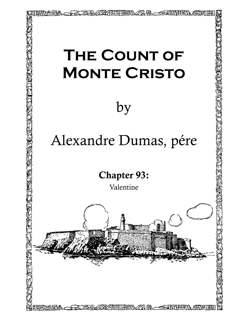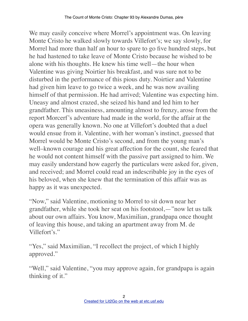We may easily conceive where Morrel's appointment was. On leaving Monte Cristo he walked slowly towards Villefort's; we say slowly, for Morrel had more than half an hour to spare to go five hundred steps, but he had hastened to take leave of Monte Cristo because he wished to be alone with his thoughts. He knew his time well—the hour when Valentine was giving Noirtier his breakfast, and was sure not to be disturbed in the performance of this pious duty. Noirtier and Valentine had given him leave to go twice a week, and he was now availing himself of that permission. He had arrived; Valentine was expecting him. Uneasy and almost crazed, she seized his hand and led him to her grandfather. This uneasiness, amounting almost to frenzy, arose from the report Morcerf's adventure had made in the world, for the affair at the opera was generally known. No one at Villefort's doubted that a duel would ensue from it. Valentine, with her woman's instinct, guessed that Morrel would be Monte Cristo's second, and from the young man's well–known courage and his great affection for the count, she feared that he would not content himself with the passive part assigned to him. We may easily understand how eagerly the particulars were asked for, given, and received; and Morrel could read an indescribable joy in the eyes of his beloved, when she knew that the termination of this affair was as happy as it was unexpected.

"Now," said Valentine, motioning to Morrel to sit down near her grandfather, while she took her seat on his footstool,—"now let us talk about our own affairs. You know, Maximilian, grandpapa once thought of leaving this house, and taking an apartment away from M. de Villefort's."

"Yes," said Maximilian, "I recollect the project, of which I highly approved."

"Well," said Valentine, "you may approve again, for grandpapa is again thinking of it."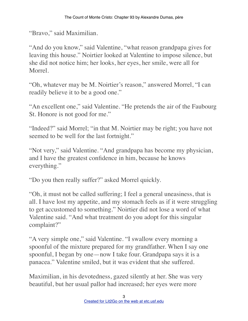"Bravo," said Maximilian.

"And do you know," said Valentine, "what reason grandpapa gives for leaving this house." Noirtier looked at Valentine to impose silence, but she did not notice him; her looks, her eyes, her smile, were all for Morrel.

"Oh, whatever may be M. Noirtier's reason," answered Morrel, "I can readily believe it to be a good one."

"An excellent one," said Valentine. "He pretends the air of the Faubourg St. Honore is not good for me."

"Indeed?" said Morrel; "in that M. Noirtier may be right; you have not seemed to be well for the last fortnight."

"Not very," said Valentine. "And grandpapa has become my physician, and I have the greatest confidence in him, because he knows everything."

"Do you then really suffer?" asked Morrel quickly.

"Oh, it must not be called suffering; I feel a general uneasiness, that is all. I have lost my appetite, and my stomach feels as if it were struggling to get accustomed to something." Noirtier did not lose a word of what Valentine said. "And what treatment do you adopt for this singular complaint?"

"A very simple one," said Valentine. "I swallow every morning a spoonful of the mixture prepared for my grandfather. When I say one spoonful, I began by one—now I take four. Grandpapa says it is a panacea." Valentine smiled, but it was evident that she suffered.

Maximilian, in his devotedness, gazed silently at her. She was very beautiful, but her usual pallor had increased; her eyes were more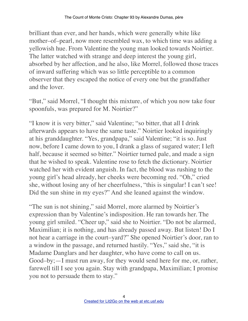brilliant than ever, and her hands, which were generally white like mother–of–pearl, now more resembled wax, to which time was adding a yellowish hue. From Valentine the young man looked towards Noirtier. The latter watched with strange and deep interest the young girl, absorbed by her affection, and he also, like Morrel, followed those traces of inward suffering which was so little perceptible to a common observer that they escaped the notice of every one but the grandfather and the lover.

"But," said Morrel, "I thought this mixture, of which you now take four spoonfuls, was prepared for M. Noirtier?"

"I know it is very bitter," said Valentine; "so bitter, that all I drink afterwards appears to have the same taste." Noirtier looked inquiringly at his granddaughter. "Yes, grandpapa," said Valentine; "it is so. Just now, before I came down to you, I drank a glass of sugared water; I left half, because it seemed so bitter." Noirtier turned pale, and made a sign that he wished to speak. Valentine rose to fetch the dictionary. Noirtier watched her with evident anguish. In fact, the blood was rushing to the young girl's head already, her cheeks were becoming red. "Oh," cried she, without losing any of her cheerfulness, "this is singular! I can't see! Did the sun shine in my eyes?" And she leaned against the window.

"The sun is not shining," said Morrel, more alarmed by Noirtier's expression than by Valentine's indisposition. He ran towards her. The young girl smiled. "Cheer up," said she to Noirtier. "Do not be alarmed, Maximilian; it is nothing, and has already passed away. But listen! Do I not hear a carriage in the court–yard?" She opened Noirtier's door, ran to a window in the passage, and returned hastily. "Yes," said she, "it is Madame Danglars and her daughter, who have come to call on us. Good–by;—I must run away, for they would send here for me, or, rather, farewell till I see you again. Stay with grandpapa, Maximilian; I promise you not to persuade them to stay."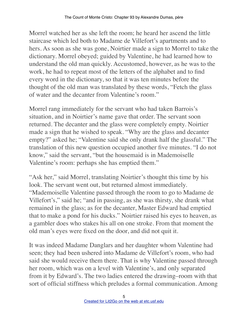Morrel watched her as she left the room; he heard her ascend the little staircase which led both to Madame de Villefort's apartments and to hers. As soon as she was gone, Noirtier made a sign to Morrel to take the dictionary. Morrel obeyed; guided by Valentine, he had learned how to understand the old man quickly. Accustomed, however, as he was to the work, he had to repeat most of the letters of the alphabet and to find every word in the dictionary, so that it was ten minutes before the thought of the old man was translated by these words, "Fetch the glass of water and the decanter from Valentine's room."

Morrel rang immediately for the servant who had taken Barrois's situation, and in Noirtier's name gave that order. The servant soon returned. The decanter and the glass were completely empty. Noirtier made a sign that he wished to speak. "Why are the glass and decanter empty?" asked he; "Valentine said she only drank half the glassful." The translation of this new question occupied another five minutes. "I do not know," said the servant, "but the housemaid is in Mademoiselle Valentine's room: perhaps she has emptied them."

"Ask her," said Morrel, translating Noirtier's thought this time by his look. The servant went out, but returned almost immediately. "Mademoiselle Valentine passed through the room to go to Madame de Villefort's," said he; "and in passing, as she was thirsty, she drank what remained in the glass; as for the decanter, Master Edward had emptied that to make a pond for his ducks." Noirtier raised his eyes to heaven, as a gambler does who stakes his all on one stroke. From that moment the old man's eyes were fixed on the door, and did not quit it.

It was indeed Madame Danglars and her daughter whom Valentine had seen; they had been ushered into Madame de Villefort's room, who had said she would receive them there. That is why Valentine passed through her room, which was on a level with Valentine's, and only separated from it by Edward's. The two ladies entered the drawing–room with that sort of official stiffness which preludes a formal communication. Among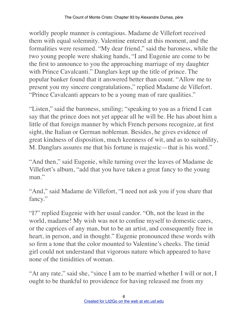worldly people manner is contagious. Madame de Villefort received them with equal solemnity. Valentine entered at this moment, and the formalities were resumed. "My dear friend," said the baroness, while the two young people were shaking hands, "I and Eugenie are come to be the first to announce to you the approaching marriage of my daughter with Prince Cavalcanti." Danglars kept up the title of prince. The popular banker found that it answered better than count. "Allow me to present you my sincere congratulations," replied Madame de Villefort. "Prince Cavalcanti appears to be a young man of rare qualities."

"Listen," said the baroness, smiling; "speaking to you as a friend I can say that the prince does not yet appear all he will be. He has about him a little of that foreign manner by which French persons recognize, at first sight, the Italian or German nobleman. Besides, he gives evidence of great kindness of disposition, much keenness of wit, and as to suitability, M. Danglars assures me that his fortune is majestic—that is his word."

"And then," said Eugenie, while turning over the leaves of Madame de Villefort's album, "add that you have taken a great fancy to the young man"

"And," said Madame de Villefort, "I need not ask you if you share that fancy."

"I?" replied Eugenie with her usual candor. "Oh, not the least in the world, madame! My wish was not to confine myself to domestic cares, or the caprices of any man, but to be an artist, and consequently free in heart, in person, and in thought." Eugenie pronounced these words with so firm a tone that the color mounted to Valentine's cheeks. The timid girl could not understand that vigorous nature which appeared to have none of the timidities of woman.

"At any rate," said she, "since I am to be married whether I will or not, I ought to be thankful to providence for having released me from my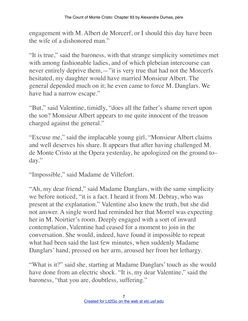engagement with M. Albert de Morcerf, or I should this day have been the wife of a dishonored man."

"It is true," said the baroness, with that strange simplicity sometimes met with among fashionable ladies, and of which plebeian intercourse can never entirely deprive them,—"it is very true that had not the Morcerfs hesitated, my daughter would have married Monsieur Albert. The general depended much on it; he even came to force M. Danglars. We have had a narrow escape."

"But," said Valentine, timidly, "does all the father's shame revert upon the son? Monsieur Albert appears to me quite innocent of the treason charged against the general."

"Excuse me," said the implacable young girl, "Monsieur Albert claims and well deserves his share. It appears that after having challenged M. de Monte Cristo at the Opera yesterday, he apologized on the ground to– day."

"Impossible," said Madame de Villefort.

"Ah, my dear friend," said Madame Danglars, with the same simplicity we before noticed, "it is a fact. I heard it from M. Debray, who was present at the explanation." Valentine also knew the truth, but she did not answer. A single word had reminded her that Morrel was expecting her in M. Noirtier's room. Deeply engaged with a sort of inward contemplation, Valentine had ceased for a moment to join in the conversation. She would, indeed, have found it impossible to repeat what had been said the last few minutes, when suddenly Madame Danglars' hand, pressed on her arm, aroused her from her lethargy.

"What is it?" said she, starting at Madame Danglars' touch as she would have done from an electric shock. "It is, my dear Valentine," said the baroness, "that you are, doubtless, suffering."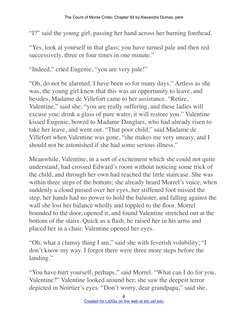"I?" said the young girl, passing her hand across her burning forehead.

"Yes, look at yourself in that glass; you have turned pale and then red successively, three or four times in one minute."

"Indeed," cried Eugenie, "you are very pale!"

"Oh, do not be alarmed; I have been so for many days." Artless as she was, the young girl knew that this was an opportunity to leave, and besides, Madame de Villefort came to her assistance. "Retire, Valentine," said she; "you are really suffering, and these ladies will excuse you; drink a glass of pure water, it will restore you." Valentine kissed Eugenie, bowed to Madame Danglars, who had already risen to take her leave, and went out. "That poor child," said Madame de Villefort when Valentine was gone, "she makes me very uneasy, and I should not be astonished if she had some serious illness."

Meanwhile, Valentine, in a sort of excitement which she could not quite understand, had crossed Edward's room without noticing some trick of the child, and through her own had reached the little staircase. She was within three steps of the bottom; she already heard Morrel's voice, when suddenly a cloud passed over her eyes, her stiffened foot missed the step, her hands had no power to hold the baluster, and falling against the wall she lost her balance wholly and toppled to the floor. Morrel bounded to the door, opened it, and found Valentine stretched out at the bottom of the stairs. Quick as a flash, he raised her in his arms and placed her in a chair. Valentine opened her eyes.

"Oh, what a clumsy thing I am," said she with feverish volubility; "I don't know my way. I forgot there were three more steps before the landing."

"You have hurt yourself, perhaps," said Morrel. "What can I do for you, Valentine?" Valentine looked around her; she saw the deepest terror depicted in Noirtier's eyes. "Don't worry, dear grandpapa," said she,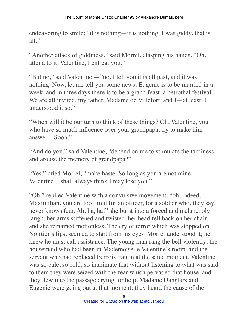endeavoring to smile; "it is nothing—it is nothing; I was giddy, that is all"

"Another attack of giddiness," said Morrel, clasping his hands. "Oh, attend to it, Valentine, I entreat you."

"But no," said Valentine,—"no, I tell you it is all past, and it was nothing. Now, let me tell you some news; Eugenie is to be married in a week, and in three days there is to be a grand feast, a betrothal festival. We are all invited, my father, Madame de Villefort, and I—at least, I understood it so."

"When will it be our turn to think of these things? Oh, Valentine, you who have so much influence over your grandpapa, try to make him answer—Soon."

"And do you," said Valentine, "depend on me to stimulate the tardiness and arouse the memory of grandpapa?"

"Yes," cried Morrel, "make haste. So long as you are not mine, Valentine, I shall always think I may lose you."

"Oh," replied Valentine with a convulsive movement, "oh, indeed, Maximilian, you are too timid for an officer, for a soldier who, they say, never knows fear. Ah, ha, ha!" she burst into a forced and melancholy laugh, her arms stiffened and twisted, her head fell back on her chair, and she remained motionless. The cry of terror which was stopped on Noirtier's lips, seemed to start from his eyes. Morrel understood it; he knew he must call assistance. The young man rang the bell violently; the housemaid who had been in Mademoiselle Valentine's room, and the servant who had replaced Barrois, ran in at the same moment. Valentine was so pale, so cold, so inanimate that without listening to what was said to them they were seized with the fear which pervaded that house, and they flew into the passage crying for help. Madame Danglars and Eugenie were going out at that moment; they heard the cause of the